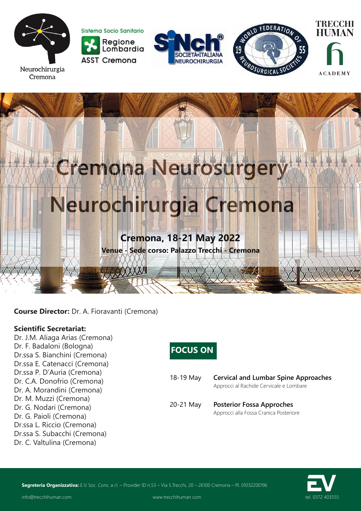











**Course Director:** Dr. A. Fioravanti (Cremona)

### **Scientific Secretariat:**

Dr. J.M. Aliaga Arias (Cremona) Dr. F. Badaloni (Bologna) Dr.ssa S. Bianchini (Cremona) Dr.ssa E. Catenacci (Cremona) Dr.ssa P. D'Auria (Cremona) Dr. C.A. Donofrio (Cremona) Dr. A. Morandini (Cremona) Dr. M. Muzzi (Cremona) Dr. G. Nodari (Cremona) Dr. G. Paioli (Cremona) Dr.ssa L. Riccio (Cremona) Dr.ssa S. Subacchi (Cremona) Dr. C. Valtulina (Cremona)

# **FOCUS ON**

| 18-19 May | <b>Cervical and Lumbar Spine Approaches</b> |  |
|-----------|---------------------------------------------|--|
|           | Approcci al Rachide Cervicale e Lombare     |  |
|           |                                             |  |

20-21 May **Posterior Fossa Approches** Approcci alla Fossa Cranica Posteriore



Segreteria Organizzativa: E.V. Soc. Cons. a r.l. – Provider ID n.53 – Via S.Trecchi, 20 – 26100 Cremona – P.I. 01032200196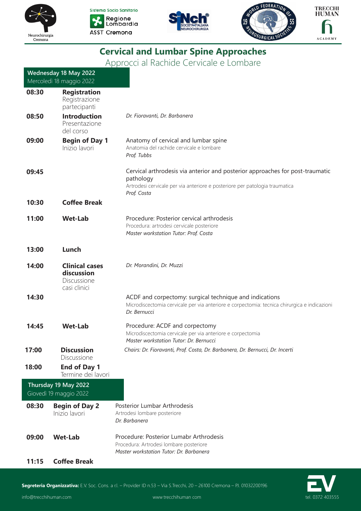







# **Cervical and Lumbar Spine Approaches**

Approcci al Rachide Cervicale e Lombare

|       | Wednesday 18 May 2022                                              |                                                                                                                                                                                          |
|-------|--------------------------------------------------------------------|------------------------------------------------------------------------------------------------------------------------------------------------------------------------------------------|
|       | Mercoledì 18 maggio 2022                                           |                                                                                                                                                                                          |
| 08:30 | <b>Registration</b><br>Registrazione<br>partecipanti               |                                                                                                                                                                                          |
| 08:50 | <b>Introduction</b><br>Presentazione<br>del corso                  | Dr. Fioravanti, Dr. Barbanera                                                                                                                                                            |
| 09:00 | <b>Begin of Day 1</b><br>Inizio lavori                             | Anatomy of cervical and lumbar spine<br>Anatomia del rachide cervicale e lombare<br>Prof. Tubbs                                                                                          |
| 09:45 |                                                                    | Cervical arthrodesis via anterior and posterior approaches for post-traumatic<br>pathology<br>Artrodesi cervicale per via anteriore e posteriore per patologia traumatica<br>Prof. Costa |
| 10:30 | <b>Coffee Break</b>                                                |                                                                                                                                                                                          |
| 11:00 | <b>Wet-Lab</b>                                                     | Procedure: Posterior cervical arthrodesis<br>Procedura: artrodesi cervicale posteriore<br>Master workstation Tutor: Prof. Costa                                                          |
| 13:00 | Lunch                                                              |                                                                                                                                                                                          |
| 14:00 | <b>Clinical cases</b><br>discussion<br>Discussione<br>casi clinici | Dr. Morandini, Dr. Muzzi                                                                                                                                                                 |
| 14:30 |                                                                    | ACDF and corpectomy: surgical technique and indications<br>Microdiscectomia cervicale per via anteriore e corpectomia: tecnica chirurgica e indicazioni<br>Dr. Bernucci                  |
| 14:45 | <b>Wet-Lab</b>                                                     | Procedure: ACDF and corpectomy                                                                                                                                                           |
|       |                                                                    | Microdiscectomia cervicale per via anteriore e corpectomia<br>Master workstation Tutor: Dr. Bernucci                                                                                     |
| 17:00 | <b>Discussion</b><br><b>Discussione</b>                            | Chairs: Dr. Fioravanti, Prof. Costa, Dr. Barbanera, Dr. Bernucci, Dr. Incerti                                                                                                            |
| 18:00 | <b>End of Day 1</b><br>Termine dei lavori                          |                                                                                                                                                                                          |
|       | Thursday 19 May 2022<br>Giovedì 19 maggio 2022                     |                                                                                                                                                                                          |
| 08:30 | <b>Begin of Day 2</b><br>Inizio lavori                             | Posterior Lumbar Arthrodesis<br>Artrodesi lombare posteriore<br>Dr. Barbanera                                                                                                            |
| 09:00 | <b>Wet-Lab</b>                                                     | Procedure: Posterior Lumabr Arthrodesis<br>Procedura: Artrodesi lombare posteriore<br>Master workstation Tutor: Dr. Barbanera                                                            |
| 11:15 | <b>Coffee Break</b>                                                |                                                                                                                                                                                          |



Segreteria Organizzativa: E.V. Soc. Cons. a r.l. – Provider ID n.53 – Via S.Trecchi, 20 – 26100 Cremona – P.I. 01032200196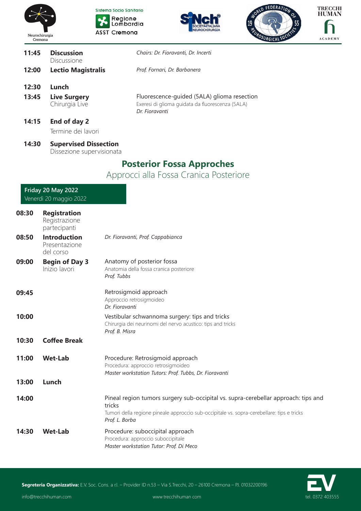









| 11:45 | <b>Discussion</b><br>Discussione                          | Chairs: Dr. Fioravanti, Dr. Incerti                                                                               |
|-------|-----------------------------------------------------------|-------------------------------------------------------------------------------------------------------------------|
| 12:00 | <b>Lectio Magistralis</b>                                 | Prof. Fornari, Dr. Barbanera                                                                                      |
| 12:30 | Lunch                                                     |                                                                                                                   |
| 13:45 | <b>Live Surgery</b><br>Chirurgia Live                     | Fluorescence-quided (5ALA) glioma resection<br>Exeresi di glioma guidata da fluorescenza (5ALA)<br>Dr. Fioravanti |
| 14:15 | End of day 2<br>Termine dei lavori                        |                                                                                                                   |
| 14:30 | <b>Supervised Dissection</b><br>Dissezione supervisionata |                                                                                                                   |
|       |                                                           |                                                                                                                   |

## **Posterior Fossa Approches**

Approcci alla Fossa Cranica Posteriore

### **Friday 20 May 2022** Venerdì 20 maggio 2022

| 08:30 | <b>Registration</b><br>Registrazione<br>partecipanti |                                                                                                                                                                                                              |
|-------|------------------------------------------------------|--------------------------------------------------------------------------------------------------------------------------------------------------------------------------------------------------------------|
| 08:50 | <b>Introduction</b><br>Presentazione<br>del corso    | Dr. Fioravanti, Prof. Cappabianca                                                                                                                                                                            |
| 09:00 | <b>Begin of Day 3</b><br>Inizio lavori               | Anatomy of posterior fossa<br>Anatomia della fossa cranica posteriore<br>Prof. Tubbs                                                                                                                         |
| 09:45 |                                                      | Retrosigmoid approach<br>Approccio retrosigmoideo<br>Dr. Fioravanti                                                                                                                                          |
| 10:00 |                                                      | Vestibular schwannoma surgery: tips and tricks<br>Chirurgia dei neurinomi del nervo acustico: tips and tricks<br>Prof. B. Misra                                                                              |
| 10:30 | <b>Coffee Break</b>                                  |                                                                                                                                                                                                              |
| 11:00 | <b>Wet-Lab</b>                                       | Procedure: Retrosigmoid approach<br>Procedura: approccio retrosigmoideo<br>Master workstation Tutors: Prof. Tubbs, Dr. Fioravanti                                                                            |
| 13:00 | Lunch                                                |                                                                                                                                                                                                              |
| 14:00 |                                                      | Pineal region tumors surgery sub-occipital vs. supra-cerebellar approach: tips and<br>tricks<br>Tumori della regione pineale approccio sub-occipitale vs. sopra-cerebellare: tips e tricks<br>Prof. L. Borba |
| 14:30 | <b>Wet-Lab</b>                                       | Procedure: suboccipital approach<br>Procedura: approccio suboccipitale<br>Master workstation Tutor: Prof. Di Meco                                                                                            |

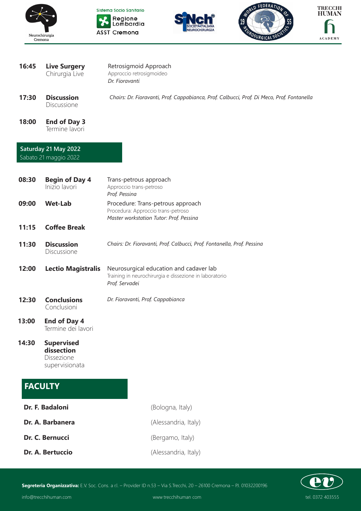









**16:45 Live Surgery** Chirurgia Live

Retrosigmoid Approach Approccio retrosigmoideo

*Dr. Fioravanti*

- **17:30 Discussion** Discussione *Chairs: Dr. Fioravanti, Prof. Cappabianca, Prof. Calbucci, Prof. Di Meco, Prof. Fontanella*
	- **18:00 End of Day 3** Termine lavori

#### **Saturday 21 May 2022** Sabato 21 maggio 2022

| 08:30 | <b>Begin of Day 4</b><br>Inizio lavori                                 | Trans-petrous approach<br>Approccio trans-petroso<br>Prof. Pessina                                                  |
|-------|------------------------------------------------------------------------|---------------------------------------------------------------------------------------------------------------------|
| 09:00 | <b>Wet-Lab</b>                                                         | Procedure: Trans-petrous approach<br>Procedura: Approccio trans-petroso<br>Master workstation Tutor: Prof. Pessina  |
| 11:15 | <b>Coffee Break</b>                                                    |                                                                                                                     |
| 11:30 | <b>Discussion</b><br>Discussione                                       | Chairs: Dr. Fioravanti, Prof. Calbucci, Prof. Fontanella, Prof. Pessina                                             |
| 12:00 | <b>Lectio Magistralis</b>                                              | Neurosurgical education and cadaver lab<br>Training in neurochirurgia e dissezione in laboratorio<br>Prof. Servadei |
| 12:30 | <b>Conclusions</b><br>Conclusioni                                      | Dr. Fioravanti, Prof. Cappabianca                                                                                   |
| 13:00 | <b>End of Day 4</b><br>Termine dei lavori                              |                                                                                                                     |
| 14:30 | <b>Supervised</b><br>dissection<br><b>Dissezione</b><br>supervisionata |                                                                                                                     |
|       | <b>FACULTY</b>                                                         |                                                                                                                     |

**Segreteria Organizzativa:** E.V. Soc. Cons. a r.l. – Provider ID n.53 – Via S.Trecchi, 20 – 26100 Cremona – P.I. 01032200196

**Dr. F. Badaloni** (Bologna, Italy)

**Dr. A. Barbanera** (Alessandria, Italy)

**Dr. C. Bernucci** (Bergamo, Italy)

**Dr. A. Bertuccio** (Alessandria, Italy)